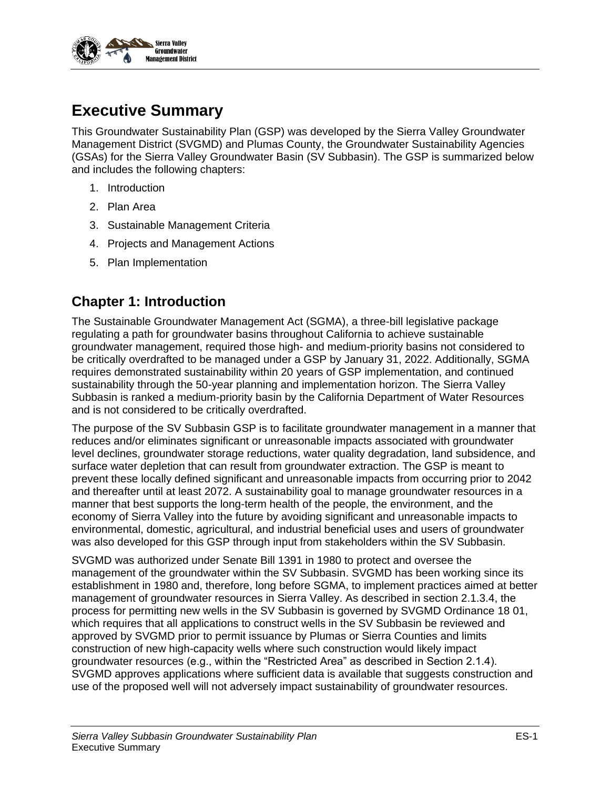

# **Executive Summary**

This Groundwater Sustainability Plan (GSP) was developed by the Sierra Valley Groundwater Management District (SVGMD) and Plumas County, the Groundwater Sustainability Agencies (GSAs) for the Sierra Valley Groundwater Basin (SV Subbasin). The GSP is summarized below and includes the following chapters:

- 1. Introduction
- 2. Plan Area
- 3. Sustainable Management Criteria
- 4. Projects and Management Actions
- 5. Plan Implementation

### **Chapter 1: Introduction**

The Sustainable Groundwater Management Act (SGMA), a three-bill legislative package regulating a path for groundwater basins throughout California to achieve sustainable groundwater management, required those high- and medium-priority basins not considered to be critically overdrafted to be managed under a GSP by January 31, 2022. Additionally, SGMA requires demonstrated sustainability within 20 years of GSP implementation, and continued sustainability through the 50-year planning and implementation horizon. The Sierra Valley Subbasin is ranked a medium-priority basin by the California Department of Water Resources and is not considered to be critically overdrafted.

The purpose of the SV Subbasin GSP is to facilitate groundwater management in a manner that reduces and/or eliminates significant or unreasonable impacts associated with groundwater level declines, groundwater storage reductions, water quality degradation, land subsidence, and surface water depletion that can result from groundwater extraction. The GSP is meant to prevent these locally defined significant and unreasonable impacts from occurring prior to 2042 and thereafter until at least 2072. A sustainability goal to manage groundwater resources in a manner that best supports the long-term health of the people, the environment, and the economy of Sierra Valley into the future by avoiding significant and unreasonable impacts to environmental, domestic, agricultural, and industrial beneficial uses and users of groundwater was also developed for this GSP through input from stakeholders within the SV Subbasin.

SVGMD was authorized under Senate Bill 1391 in 1980 to protect and oversee the management of the groundwater within the SV Subbasin. SVGMD has been working since its establishment in 1980 and, therefore, long before SGMA, to implement practices aimed at better management of groundwater resources in Sierra Valley. As described in section 2.1.3.4, the process for permitting new wells in the SV Subbasin is governed by SVGMD Ordinance 18 01, which requires that all applications to construct wells in the SV Subbasin be reviewed and approved by SVGMD prior to permit issuance by Plumas or Sierra Counties and limits construction of new high-capacity wells where such construction would likely impact groundwater resources (e.g., within the "Restricted Area" as described in Section 2.1.4). SVGMD approves applications where sufficient data is available that suggests construction and use of the proposed well will not adversely impact sustainability of groundwater resources.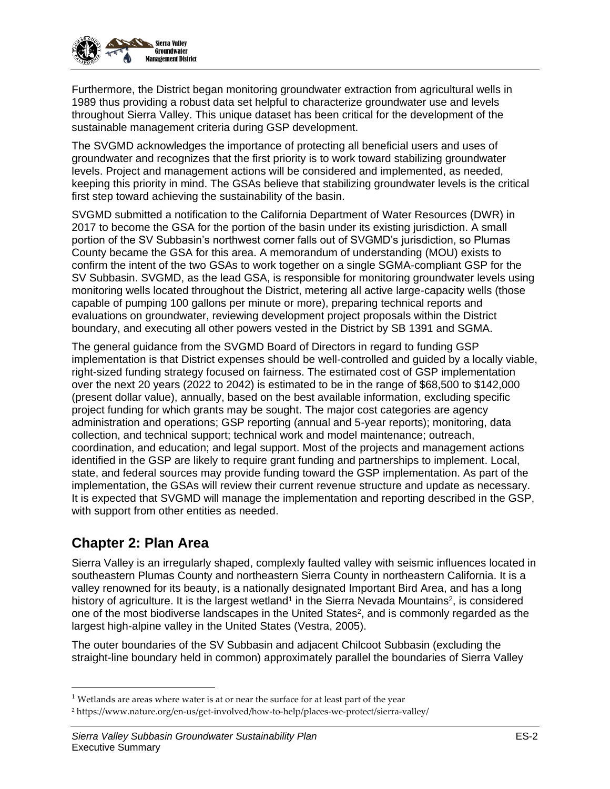

Furthermore, the District began monitoring groundwater extraction from agricultural wells in 1989 thus providing a robust data set helpful to characterize groundwater use and levels throughout Sierra Valley. This unique dataset has been critical for the development of the sustainable management criteria during GSP development.

The SVGMD acknowledges the importance of protecting all beneficial users and uses of groundwater and recognizes that the first priority is to work toward stabilizing groundwater levels. Project and management actions will be considered and implemented, as needed, keeping this priority in mind. The GSAs believe that stabilizing groundwater levels is the critical first step toward achieving the sustainability of the basin.

SVGMD submitted a notification to the California Department of Water Resources (DWR) in 2017 to become the GSA for the portion of the basin under its existing jurisdiction. A small portion of the SV Subbasin's northwest corner falls out of SVGMD's jurisdiction, so Plumas County became the GSA for this area. A memorandum of understanding (MOU) exists to confirm the intent of the two GSAs to work together on a single SGMA-compliant GSP for the SV Subbasin. SVGMD, as the lead GSA, is responsible for monitoring groundwater levels using monitoring wells located throughout the District, metering all active large-capacity wells (those capable of pumping 100 gallons per minute or more), preparing technical reports and evaluations on groundwater, reviewing development project proposals within the District boundary, and executing all other powers vested in the District by SB 1391 and SGMA.

The general guidance from the SVGMD Board of Directors in regard to funding GSP implementation is that District expenses should be well-controlled and guided by a locally viable, right-sized funding strategy focused on fairness. The estimated cost of GSP implementation over the next 20 years (2022 to 2042) is estimated to be in the range of \$68,500 to \$142,000 (present dollar value), annually, based on the best available information, excluding specific project funding for which grants may be sought. The major cost categories are agency administration and operations; GSP reporting (annual and 5-year reports); monitoring, data collection, and technical support; technical work and model maintenance; outreach, coordination, and education; and legal support. Most of the projects and management actions identified in the GSP are likely to require grant funding and partnerships to implement. Local, state, and federal sources may provide funding toward the GSP implementation. As part of the implementation, the GSAs will review their current revenue structure and update as necessary. It is expected that SVGMD will manage the implementation and reporting described in the GSP, with support from other entities as needed.

# **Chapter 2: Plan Area**

Sierra Valley is an irregularly shaped, complexly faulted valley with seismic influences located in southeastern Plumas County and northeastern Sierra County in northeastern California. It is a valley renowned for its beauty, is a nationally designated Important Bird Area, and has a long history of agriculture. It is the largest wetland<sup>1</sup> in the Sierra Nevada Mountains<sup>2</sup>, is considered one of the most biodiverse landscapes in the United States<sup>2</sup>, and is commonly regarded as the largest high-alpine valley in the United States (Vestra, 2005).

The outer boundaries of the SV Subbasin and adjacent Chilcoot Subbasin (excluding the straight-line boundary held in common) approximately parallel the boundaries of Sierra Valley

 $<sup>1</sup>$  Wetlands are areas where water is at or near the surface for at least part of the year</sup>

<sup>2</sup> https://www.nature.org/en-us/get-involved/how-to-help/places-we-protect/sierra-valley/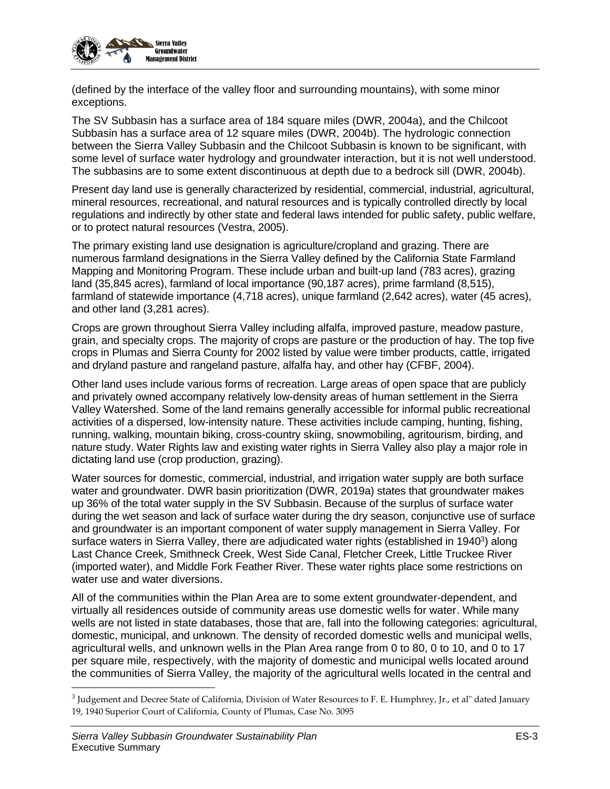

(defined by the interface of the valley floor and surrounding mountains), with some minor exceptions.

The SV Subbasin has a surface area of 184 square miles (DWR, 2004a), and the Chilcoot Subbasin has a surface area of 12 square miles (DWR, 2004b). The hydrologic connection between the Sierra Valley Subbasin and the Chilcoot Subbasin is known to be significant, with some level of surface water hydrology and groundwater interaction, but it is not well understood. The subbasins are to some extent discontinuous at depth due to a bedrock sill (DWR, 2004b).

Present day land use is generally characterized by residential, commercial, industrial, agricultural, mineral resources, recreational, and natural resources and is typically controlled directly by local regulations and indirectly by other state and federal laws intended for public safety, public welfare, or to protect natural resources (Vestra, 2005).

The primary existing land use designation is agriculture/cropland and grazing. There are numerous farmland designations in the Sierra Valley defined by the California State Farmland Mapping and Monitoring Program. These include urban and built-up land (783 acres), grazing land (35,845 acres), farmland of local importance (90,187 acres), prime farmland (8,515), farmland of statewide importance (4,718 acres), unique farmland (2,642 acres), water (45 acres), and other land (3,281 acres).

Crops are grown throughout Sierra Valley including alfalfa, improved pasture, meadow pasture, grain, and specialty crops. The majority of crops are pasture or the production of hay. The top five crops in Plumas and Sierra County for 2002 listed by value were timber products, cattle, irrigated and dryland pasture and rangeland pasture, alfalfa hay, and other hay (CFBF, 2004).

Other land uses include various forms of recreation. Large areas of open space that are publicly and privately owned accompany relatively low-density areas of human settlement in the Sierra Valley Watershed. Some of the land remains generally accessible for informal public recreational activities of a dispersed, low-intensity nature. These activities include camping, hunting, fishing, running, walking, mountain biking, cross-country skiing, snowmobiling, agritourism, birding, and nature study. Water Rights law and existing water rights in Sierra Valley also play a major role in dictating land use (crop production, grazing).

Water sources for domestic, commercial, industrial, and irrigation water supply are both surface water and groundwater. DWR basin prioritization (DWR, 2019a) states that groundwater makes up 36% of the total water supply in the SV Subbasin. Because of the surplus of surface water during the wet season and lack of surface water during the dry season, conjunctive use of surface and groundwater is an important component of water supply management in Sierra Valley. For surface waters in Sierra Valley, there are adjudicated water rights (established in 1940<sup>3</sup>) along Last Chance Creek, Smithneck Creek, West Side Canal, Fletcher Creek, Little Truckee River (imported water), and Middle Fork Feather River. These water rights place some restrictions on water use and water diversions.

All of the communities within the Plan Area are to some extent groundwater-dependent, and virtually all residences outside of community areas use domestic wells for water. While many wells are not listed in state databases, those that are, fall into the following categories: agricultural, domestic, municipal, and unknown. The density of recorded domestic wells and municipal wells, agricultural wells, and unknown wells in the Plan Area range from 0 to 80, 0 to 10, and 0 to 17 per square mile, respectively, with the majority of domestic and municipal wells located around the communities of Sierra Valley, the majority of the agricultural wells located in the central and

 $^3$  Judgement and Decree State of California, Division of Water Resources to F. E. Humphrey, Jr., et al" dated January 19, 1940 Superior Court of California, County of Plumas, Case No. 3095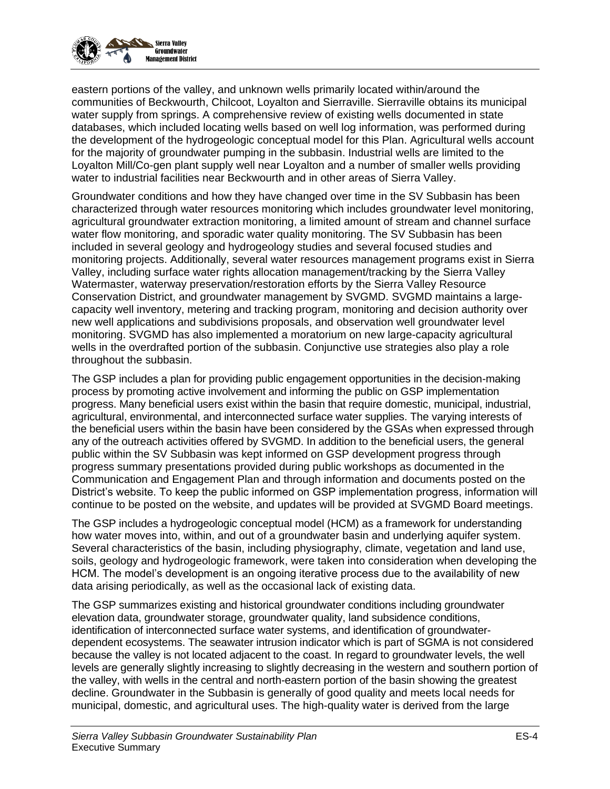

eastern portions of the valley, and unknown wells primarily located within/around the communities of Beckwourth, Chilcoot, Loyalton and Sierraville. Sierraville obtains its municipal water supply from springs. A comprehensive review of existing wells documented in state databases, which included locating wells based on well log information, was performed during the development of the hydrogeologic conceptual model for this Plan. Agricultural wells account for the majority of groundwater pumping in the subbasin. Industrial wells are limited to the Loyalton Mill/Co-gen plant supply well near Loyalton and a number of smaller wells providing water to industrial facilities near Beckwourth and in other areas of Sierra Valley.

Groundwater conditions and how they have changed over time in the SV Subbasin has been characterized through water resources monitoring which includes groundwater level monitoring, agricultural groundwater extraction monitoring, a limited amount of stream and channel surface water flow monitoring, and sporadic water quality monitoring. The SV Subbasin has been included in several geology and hydrogeology studies and several focused studies and monitoring projects. Additionally, several water resources management programs exist in Sierra Valley, including surface water rights allocation management/tracking by the Sierra Valley Watermaster, waterway preservation/restoration efforts by the Sierra Valley Resource Conservation District, and groundwater management by SVGMD. SVGMD maintains a largecapacity well inventory, metering and tracking program, monitoring and decision authority over new well applications and subdivisions proposals, and observation well groundwater level monitoring. SVGMD has also implemented a moratorium on new large-capacity agricultural wells in the overdrafted portion of the subbasin. Conjunctive use strategies also play a role throughout the subbasin.

The GSP includes a plan for providing public engagement opportunities in the decision-making process by promoting active involvement and informing the public on GSP implementation progress. Many beneficial users exist within the basin that require domestic, municipal, industrial, agricultural, environmental, and interconnected surface water supplies. The varying interests of the beneficial users within the basin have been considered by the GSAs when expressed through any of the outreach activities offered by SVGMD. In addition to the beneficial users, the general public within the SV Subbasin was kept informed on GSP development progress through progress summary presentations provided during public workshops as documented in the Communication and Engagement Plan and through information and documents posted on the District's website. To keep the public informed on GSP implementation progress, information will continue to be posted on the website, and updates will be provided at SVGMD Board meetings.

The GSP includes a hydrogeologic conceptual model (HCM) as a framework for understanding how water moves into, within, and out of a groundwater basin and underlying aquifer system. Several characteristics of the basin, including physiography, climate, vegetation and land use, soils, geology and hydrogeologic framework, were taken into consideration when developing the HCM. The model's development is an ongoing iterative process due to the availability of new data arising periodically, as well as the occasional lack of existing data.

The GSP summarizes existing and historical groundwater conditions including groundwater elevation data, groundwater storage, groundwater quality, land subsidence conditions, identification of interconnected surface water systems, and identification of groundwaterdependent ecosystems. The seawater intrusion indicator which is part of SGMA is not considered because the valley is not located adjacent to the coast. In regard to groundwater levels, the well levels are generally slightly increasing to slightly decreasing in the western and southern portion of the valley, with wells in the central and north-eastern portion of the basin showing the greatest decline. Groundwater in the Subbasin is generally of good quality and meets local needs for municipal, domestic, and agricultural uses. The high-quality water is derived from the large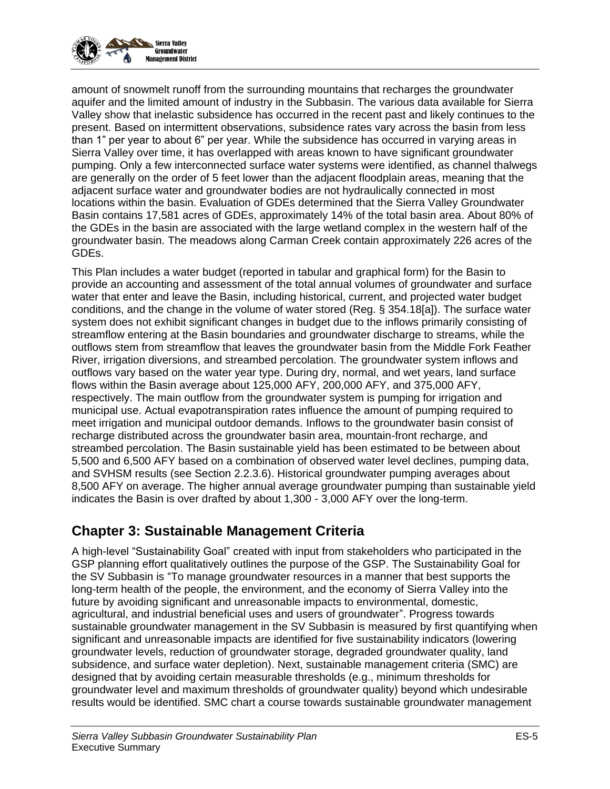

amount of snowmelt runoff from the surrounding mountains that recharges the groundwater aquifer and the limited amount of industry in the Subbasin. The various data available for Sierra Valley show that inelastic subsidence has occurred in the recent past and likely continues to the present. Based on intermittent observations, subsidence rates vary across the basin from less than 1" per year to about 6" per year. While the subsidence has occurred in varying areas in Sierra Valley over time, it has overlapped with areas known to have significant groundwater pumping. Only a few interconnected surface water systems were identified, as channel thalwegs are generally on the order of 5 feet lower than the adjacent floodplain areas, meaning that the adjacent surface water and groundwater bodies are not hydraulically connected in most locations within the basin. Evaluation of GDEs determined that the Sierra Valley Groundwater Basin contains 17,581 acres of GDEs, approximately 14% of the total basin area. About 80% of the GDEs in the basin are associated with the large wetland complex in the western half of the groundwater basin. The meadows along Carman Creek contain approximately 226 acres of the GDEs.

This Plan includes a water budget (reported in tabular and graphical form) for the Basin to provide an accounting and assessment of the total annual volumes of groundwater and surface water that enter and leave the Basin, including historical, current, and projected water budget conditions, and the change in the volume of water stored (Reg. § 354.18[a]). The surface water system does not exhibit significant changes in budget due to the inflows primarily consisting of streamflow entering at the Basin boundaries and groundwater discharge to streams, while the outflows stem from streamflow that leaves the groundwater basin from the Middle Fork Feather River, irrigation diversions, and streambed percolation. The groundwater system inflows and outflows vary based on the water year type. During dry, normal, and wet years, land surface flows within the Basin average about 125,000 AFY, 200,000 AFY, and 375,000 AFY, respectively. The main outflow from the groundwater system is pumping for irrigation and municipal use. Actual evapotranspiration rates influence the amount of pumping required to meet irrigation and municipal outdoor demands. Inflows to the groundwater basin consist of recharge distributed across the groundwater basin area, mountain-front recharge, and streambed percolation. The Basin sustainable yield has been estimated to be between about 5,500 and 6,500 AFY based on a combination of observed water level declines, pumping data, and SVHSM results (see Section 2.2.3.6). Historical groundwater pumping averages about 8,500 AFY on average. The higher annual average groundwater pumping than sustainable yield indicates the Basin is over drafted by about 1,300 - 3,000 AFY over the long-term.

# **Chapter 3: Sustainable Management Criteria**

A high-level "Sustainability Goal" created with input from stakeholders who participated in the GSP planning effort qualitatively outlines the purpose of the GSP. The Sustainability Goal for the SV Subbasin is "To manage groundwater resources in a manner that best supports the long-term health of the people, the environment, and the economy of Sierra Valley into the future by avoiding significant and unreasonable impacts to environmental, domestic, agricultural, and industrial beneficial uses and users of groundwater". Progress towards sustainable groundwater management in the SV Subbasin is measured by first quantifying when significant and unreasonable impacts are identified for five sustainability indicators (lowering groundwater levels, reduction of groundwater storage, degraded groundwater quality, land subsidence, and surface water depletion). Next, sustainable management criteria (SMC) are designed that by avoiding certain measurable thresholds (e.g., minimum thresholds for groundwater level and maximum thresholds of groundwater quality) beyond which undesirable results would be identified. SMC chart a course towards sustainable groundwater management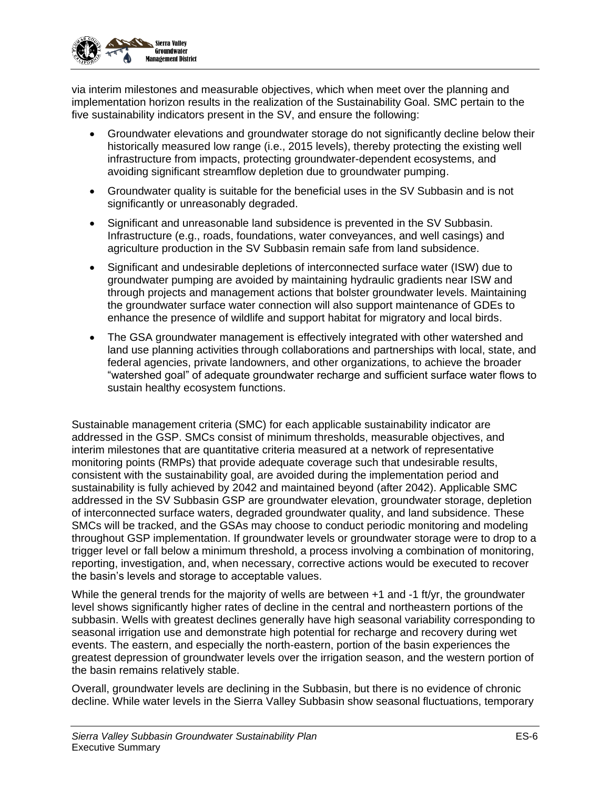

via interim milestones and measurable objectives, which when meet over the planning and implementation horizon results in the realization of the Sustainability Goal. SMC pertain to the five sustainability indicators present in the SV, and ensure the following:

- Groundwater elevations and groundwater storage do not significantly decline below their historically measured low range (i.e., 2015 levels), thereby protecting the existing well infrastructure from impacts, protecting groundwater-dependent ecosystems, and avoiding significant streamflow depletion due to groundwater pumping.
- Groundwater quality is suitable for the beneficial uses in the SV Subbasin and is not significantly or unreasonably degraded.
- Significant and unreasonable land subsidence is prevented in the SV Subbasin. Infrastructure (e.g., roads, foundations, water conveyances, and well casings) and agriculture production in the SV Subbasin remain safe from land subsidence.
- Significant and undesirable depletions of interconnected surface water (ISW) due to groundwater pumping are avoided by maintaining hydraulic gradients near ISW and through projects and management actions that bolster groundwater levels. Maintaining the groundwater surface water connection will also support maintenance of GDEs to enhance the presence of wildlife and support habitat for migratory and local birds.
- The GSA groundwater management is effectively integrated with other watershed and land use planning activities through collaborations and partnerships with local, state, and federal agencies, private landowners, and other organizations, to achieve the broader "watershed goal" of adequate groundwater recharge and sufficient surface water flows to sustain healthy ecosystem functions.

Sustainable management criteria (SMC) for each applicable sustainability indicator are addressed in the GSP. SMCs consist of minimum thresholds, measurable objectives, and interim milestones that are quantitative criteria measured at a network of representative monitoring points (RMPs) that provide adequate coverage such that undesirable results, consistent with the sustainability goal, are avoided during the implementation period and sustainability is fully achieved by 2042 and maintained beyond (after 2042). Applicable SMC addressed in the SV Subbasin GSP are groundwater elevation, groundwater storage, depletion of interconnected surface waters, degraded groundwater quality, and land subsidence. These SMCs will be tracked, and the GSAs may choose to conduct periodic monitoring and modeling throughout GSP implementation. If groundwater levels or groundwater storage were to drop to a trigger level or fall below a minimum threshold, a process involving a combination of monitoring, reporting, investigation, and, when necessary, corrective actions would be executed to recover the basin's levels and storage to acceptable values.

While the general trends for the majority of wells are between  $+1$  and  $-1$  ft/yr, the groundwater level shows significantly higher rates of decline in the central and northeastern portions of the subbasin. Wells with greatest declines generally have high seasonal variability corresponding to seasonal irrigation use and demonstrate high potential for recharge and recovery during wet events. The eastern, and especially the north-eastern, portion of the basin experiences the greatest depression of groundwater levels over the irrigation season, and the western portion of the basin remains relatively stable.

Overall, groundwater levels are declining in the Subbasin, but there is no evidence of chronic decline. While water levels in the Sierra Valley Subbasin show seasonal fluctuations, temporary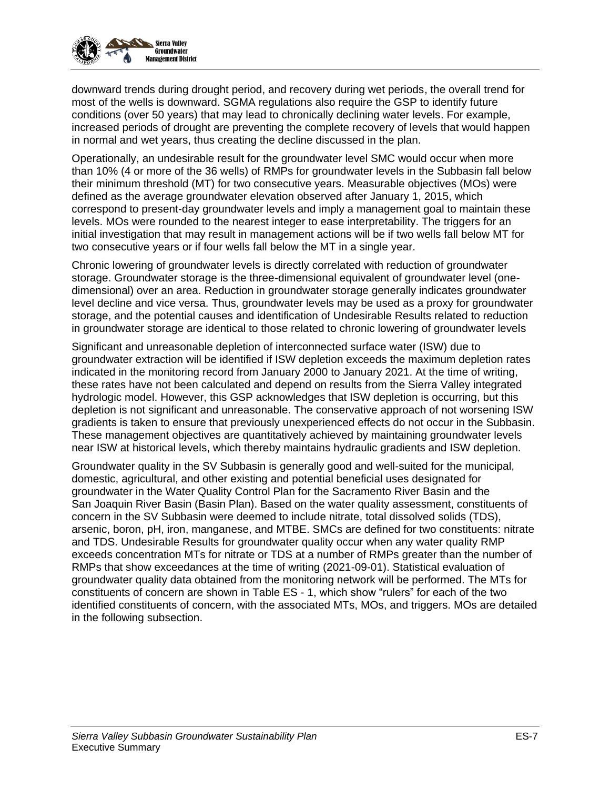

downward trends during drought period, and recovery during wet periods, the overall trend for most of the wells is downward. SGMA regulations also require the GSP to identify future conditions (over 50 years) that may lead to chronically declining water levels. For example, increased periods of drought are preventing the complete recovery of levels that would happen in normal and wet years, thus creating the decline discussed in the plan.

Operationally, an undesirable result for the groundwater level SMC would occur when more than 10% (4 or more of the 36 wells) of RMPs for groundwater levels in the Subbasin fall below their minimum threshold (MT) for two consecutive years. Measurable objectives (MOs) were defined as the average groundwater elevation observed after January 1, 2015, which correspond to present-day groundwater levels and imply a management goal to maintain these levels. MOs were rounded to the nearest integer to ease interpretability. The triggers for an initial investigation that may result in management actions will be if two wells fall below MT for two consecutive years or if four wells fall below the MT in a single year.

Chronic lowering of groundwater levels is directly correlated with reduction of groundwater storage. Groundwater storage is the three-dimensional equivalent of groundwater level (onedimensional) over an area. Reduction in groundwater storage generally indicates groundwater level decline and vice versa. Thus, groundwater levels may be used as a proxy for groundwater storage, and the potential causes and identification of Undesirable Results related to reduction in groundwater storage are identical to those related to chronic lowering of groundwater levels

Significant and unreasonable depletion of interconnected surface water (ISW) due to groundwater extraction will be identified if ISW depletion exceeds the maximum depletion rates indicated in the monitoring record from January 2000 to January 2021. At the time of writing, these rates have not been calculated and depend on results from the Sierra Valley integrated hydrologic model. However, this GSP acknowledges that ISW depletion is occurring, but this depletion is not significant and unreasonable. The conservative approach of not worsening ISW gradients is taken to ensure that previously unexperienced effects do not occur in the Subbasin. These management objectives are quantitatively achieved by maintaining groundwater levels near ISW at historical levels, which thereby maintains hydraulic gradients and ISW depletion.

Groundwater quality in the SV Subbasin is generally good and well-suited for the municipal, domestic, agricultural, and other existing and potential beneficial uses designated for groundwater in the Water Quality Control Plan for the Sacramento River Basin and the San Joaquin River Basin (Basin Plan). Based on the water quality assessment, constituents of concern in the SV Subbasin were deemed to include nitrate, total dissolved solids (TDS), arsenic, boron, pH, iron, manganese, and MTBE. SMCs are defined for two constituents: nitrate and TDS. Undesirable Results for groundwater quality occur when any water quality RMP exceeds concentration MTs for nitrate or TDS at a number of RMPs greater than the number of RMPs that show exceedances at the time of writing (2021-09-01). Statistical evaluation of groundwater quality data obtained from the monitoring network will be performed. The MTs for constituents of concern are shown in [Table ES -](#page-7-0) 1, which show "rulers" for each of the two identified constituents of concern, with the associated MTs, MOs, and triggers. MOs are detailed in the following subsection.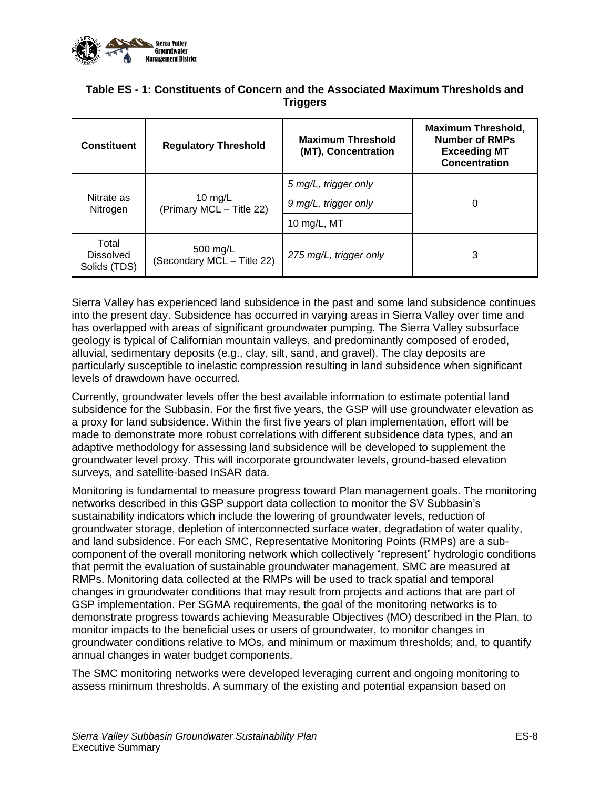

#### <span id="page-7-0"></span>**Table ES - 1: Constituents of Concern and the Associated Maximum Thresholds and Triggers**

| <b>Constituent</b>                        | <b>Regulatory Threshold</b>                                      | <b>Maximum Threshold</b><br>(MT), Concentration | <b>Maximum Threshold,</b><br><b>Number of RMPs</b><br><b>Exceeding MT</b><br><b>Concentration</b> |  |
|-------------------------------------------|------------------------------------------------------------------|-------------------------------------------------|---------------------------------------------------------------------------------------------------|--|
| Nitrate as<br>Nitrogen                    | 10 mg/L<br>(Primary MCL - Title 22)                              | 5 mg/L, trigger only                            | 0                                                                                                 |  |
|                                           |                                                                  | 9 mg/L, trigger only                            |                                                                                                   |  |
|                                           |                                                                  | 10 mg/L, MT                                     |                                                                                                   |  |
| Total<br><b>Dissolved</b><br>Solids (TDS) | 500 mg/L<br>275 mg/L, trigger only<br>(Secondary MCL - Title 22) |                                                 | 3                                                                                                 |  |

Sierra Valley has experienced land subsidence in the past and some land subsidence continues into the present day. Subsidence has occurred in varying areas in Sierra Valley over time and has overlapped with areas of significant groundwater pumping. The Sierra Valley subsurface geology is typical of Californian mountain valleys, and predominantly composed of eroded, alluvial, sedimentary deposits (e.g., clay, silt, sand, and gravel). The clay deposits are particularly susceptible to inelastic compression resulting in land subsidence when significant levels of drawdown have occurred.

Currently, groundwater levels offer the best available information to estimate potential land subsidence for the Subbasin. For the first five years, the GSP will use groundwater elevation as a proxy for land subsidence. Within the first five years of plan implementation, effort will be made to demonstrate more robust correlations with different subsidence data types, and an adaptive methodology for assessing land subsidence will be developed to supplement the groundwater level proxy. This will incorporate groundwater levels, ground-based elevation surveys, and satellite-based InSAR data.

Monitoring is fundamental to measure progress toward Plan management goals. The monitoring networks described in this GSP support data collection to monitor the SV Subbasin's sustainability indicators which include the lowering of groundwater levels, reduction of groundwater storage, depletion of interconnected surface water, degradation of water quality, and land subsidence. For each SMC, Representative Monitoring Points (RMPs) are a subcomponent of the overall monitoring network which collectively "represent" hydrologic conditions that permit the evaluation of sustainable groundwater management. SMC are measured at RMPs. Monitoring data collected at the RMPs will be used to track spatial and temporal changes in groundwater conditions that may result from projects and actions that are part of GSP implementation. Per SGMA requirements, the goal of the monitoring networks is to demonstrate progress towards achieving Measurable Objectives (MO) described in the Plan, to monitor impacts to the beneficial uses or users of groundwater, to monitor changes in groundwater conditions relative to MOs, and minimum or maximum thresholds; and, to quantify annual changes in water budget components.

The SMC monitoring networks were developed leveraging current and ongoing monitoring to assess minimum thresholds. A summary of the existing and potential expansion based on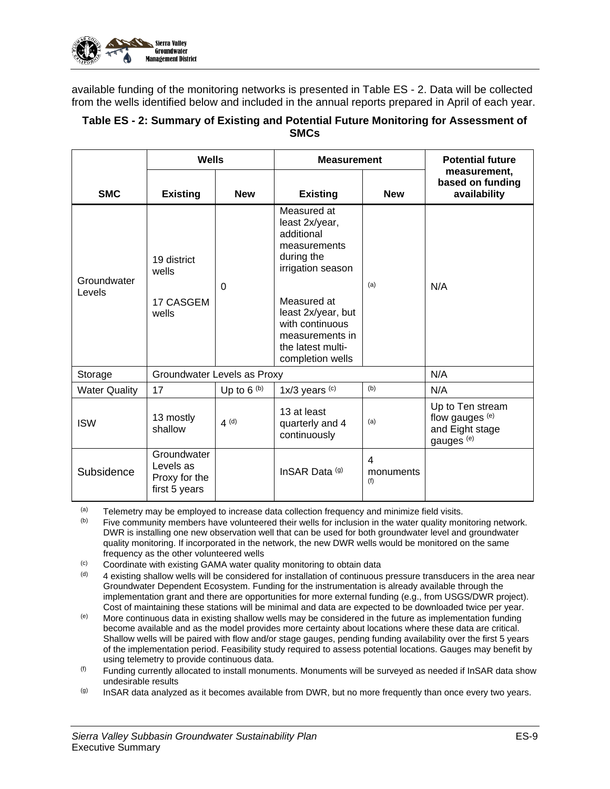

available funding of the monitoring networks is presented in [Table ES -](#page-8-0) 2. Data will be collected from the wells identified below and included in the annual reports prepared in April of each year.

#### <span id="page-8-0"></span>**Table ES - 2: Summary of Existing and Potential Future Monitoring for Assessment of SMCs**

|                       | Wells                                                      |                 | <b>Measurement</b>                                                                                                                                                                                                 |                       | <b>Potential future</b>                                                         |
|-----------------------|------------------------------------------------------------|-----------------|--------------------------------------------------------------------------------------------------------------------------------------------------------------------------------------------------------------------|-----------------------|---------------------------------------------------------------------------------|
| <b>SMC</b>            | <b>Existing</b>                                            | <b>New</b>      | <b>Existing</b>                                                                                                                                                                                                    | <b>New</b>            | measurement,<br>based on funding<br>availability                                |
| Groundwater<br>Levels | 19 district<br>wells<br>17 CASGEM<br>wells                 | $\Omega$        | Measured at<br>least 2x/year,<br>additional<br>measurements<br>during the<br>irrigation season<br>Measured at<br>least 2x/year, but<br>with continuous<br>measurements in<br>the latest multi-<br>completion wells | (a)                   | N/A                                                                             |
| Storage               | Groundwater Levels as Proxy                                |                 |                                                                                                                                                                                                                    |                       | N/A                                                                             |
| <b>Water Quality</b>  | 17                                                         | Up to $6^{(b)}$ | $1x/3$ years $(c)$                                                                                                                                                                                                 | (b)                   | N/A                                                                             |
| <b>ISW</b>            | 13 mostly<br>shallow                                       | $4^{(d)}$       | 13 at least<br>quarterly and 4<br>continuously                                                                                                                                                                     | (a)                   | Up to Ten stream<br>flow gauges (e)<br>and Eight stage<br>gauges <sup>(e)</sup> |
| Subsidence            | Groundwater<br>Levels as<br>Proxy for the<br>first 5 years |                 | InSAR Data (g)                                                                                                                                                                                                     | 4<br>monuments<br>(f) |                                                                                 |

 $(a)$  Telemetry may be employed to increase data collection frequency and minimize field visits.

(b) Five community members have volunteered their wells for inclusion in the water quality monitoring network. DWR is installing one new observation well that can be used for both groundwater level and groundwater quality monitoring. If incorporated in the network, the new DWR wells would be monitored on the same frequency as the other volunteered wells

- (c) Coordinate with existing GAMA water quality monitoring to obtain data  $(d)$  A existing shallow wells will be considered for installation of continuous
- 4 existing shallow wells will be considered for installation of continuous pressure transducers in the area near Groundwater Dependent Ecosystem. Funding for the instrumentation is already available through the implementation grant and there are opportunities for more external funding (e.g., from USGS/DWR project). Cost of maintaining these stations will be minimal and data are expected to be downloaded twice per year.
- $(e)$  More continuous data in existing shallow wells may be considered in the future as implementation funding become available and as the model provides more certainty about locations where these data are critical. Shallow wells will be paired with flow and/or stage gauges, pending funding availability over the first 5 years of the implementation period. Feasibility study required to assess potential locations. Gauges may benefit by using telemetry to provide continuous data.
- $<sup>(f)</sup>$  Funding currently allocated to install monuments. Monuments will be surveyed as needed if InSAR data show</sup> undesirable results
- $(9)$  InSAR data analyzed as it becomes available from DWR, but no more frequently than once every two years.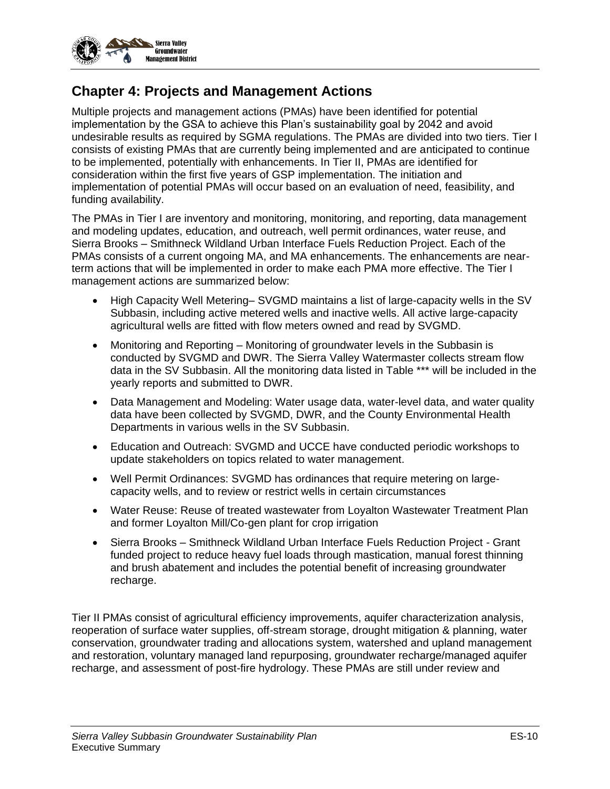

### **Chapter 4: Projects and Management Actions**

Multiple projects and management actions (PMAs) have been identified for potential implementation by the GSA to achieve this Plan's sustainability goal by 2042 and avoid undesirable results as required by SGMA regulations. The PMAs are divided into two tiers. Tier I consists of existing PMAs that are currently being implemented and are anticipated to continue to be implemented, potentially with enhancements. In Tier II, PMAs are identified for consideration within the first five years of GSP implementation. The initiation and implementation of potential PMAs will occur based on an evaluation of need, feasibility, and funding availability.

The PMAs in Tier I are inventory and monitoring, monitoring, and reporting, data management and modeling updates, education, and outreach, well permit ordinances, water reuse, and Sierra Brooks – Smithneck Wildland Urban Interface Fuels Reduction Project. Each of the PMAs consists of a current ongoing MA, and MA enhancements. The enhancements are nearterm actions that will be implemented in order to make each PMA more effective. The Tier I management actions are summarized below:

- High Capacity Well Metering– SVGMD maintains a list of large-capacity wells in the SV Subbasin, including active metered wells and inactive wells. All active large-capacity agricultural wells are fitted with flow meters owned and read by SVGMD.
- Monitoring and Reporting Monitoring of groundwater levels in the Subbasin is conducted by SVGMD and DWR. The Sierra Valley Watermaster collects stream flow data in the SV Subbasin. All the monitoring data listed in Table \*\*\* will be included in the yearly reports and submitted to DWR.
- Data Management and Modeling: Water usage data, water-level data, and water quality data have been collected by SVGMD, DWR, and the County Environmental Health Departments in various wells in the SV Subbasin.
- Education and Outreach: SVGMD and UCCE have conducted periodic workshops to update stakeholders on topics related to water management.
- Well Permit Ordinances: SVGMD has ordinances that require metering on largecapacity wells, and to review or restrict wells in certain circumstances
- Water Reuse: Reuse of treated wastewater from Loyalton Wastewater Treatment Plan and former Loyalton Mill/Co-gen plant for crop irrigation
- Sierra Brooks Smithneck Wildland Urban Interface Fuels Reduction Project Grant funded project to reduce heavy fuel loads through mastication, manual forest thinning and brush abatement and includes the potential benefit of increasing groundwater recharge.

Tier II PMAs consist of agricultural efficiency improvements, aquifer characterization analysis, reoperation of surface water supplies, off-stream storage, drought mitigation & planning, water conservation, groundwater trading and allocations system, watershed and upland management and restoration, voluntary managed land repurposing, groundwater recharge/managed aquifer recharge, and assessment of post-fire hydrology. These PMAs are still under review and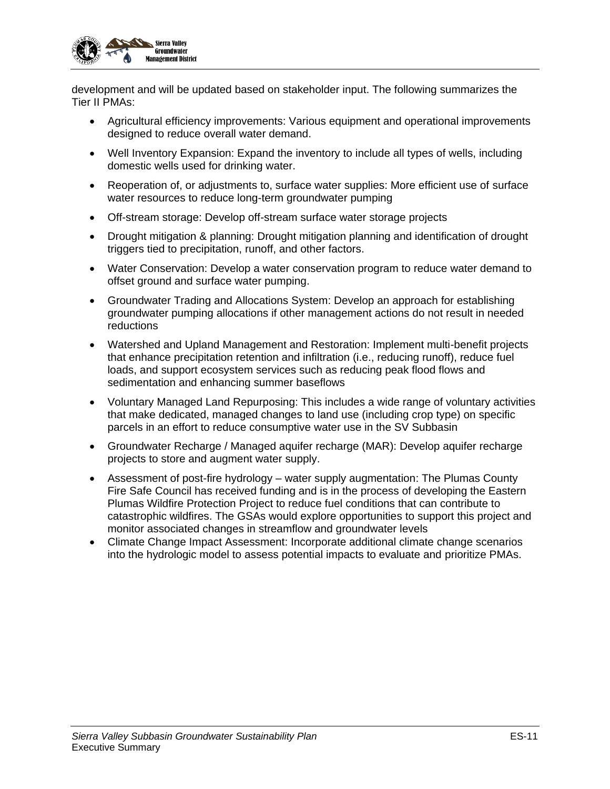

development and will be updated based on stakeholder input. The following summarizes the Tier II PMAs:

- Agricultural efficiency improvements: Various equipment and operational improvements designed to reduce overall water demand.
- Well Inventory Expansion: Expand the inventory to include all types of wells, including domestic wells used for drinking water.
- Reoperation of, or adjustments to, surface water supplies: More efficient use of surface water resources to reduce long-term groundwater pumping
- Off-stream storage: Develop off-stream surface water storage projects
- Drought mitigation & planning: Drought mitigation planning and identification of drought triggers tied to precipitation, runoff, and other factors.
- Water Conservation: Develop a water conservation program to reduce water demand to offset ground and surface water pumping.
- Groundwater Trading and Allocations System: Develop an approach for establishing groundwater pumping allocations if other management actions do not result in needed reductions
- Watershed and Upland Management and Restoration: Implement multi-benefit projects that enhance precipitation retention and infiltration (i.e., reducing runoff), reduce fuel loads, and support ecosystem services such as reducing peak flood flows and sedimentation and enhancing summer baseflows
- Voluntary Managed Land Repurposing: This includes a wide range of voluntary activities that make dedicated, managed changes to land use (including crop type) on specific parcels in an effort to reduce consumptive water use in the SV Subbasin
- Groundwater Recharge / Managed aquifer recharge (MAR): Develop aquifer recharge projects to store and augment water supply.
- Assessment of post-fire hydrology water supply augmentation: The Plumas County Fire Safe Council has received funding and is in the process of developing the Eastern Plumas Wildfire Protection Project to reduce fuel conditions that can contribute to catastrophic wildfires. The GSAs would explore opportunities to support this project and monitor associated changes in streamflow and groundwater levels
- Climate Change Impact Assessment: Incorporate additional climate change scenarios into the hydrologic model to assess potential impacts to evaluate and prioritize PMAs.